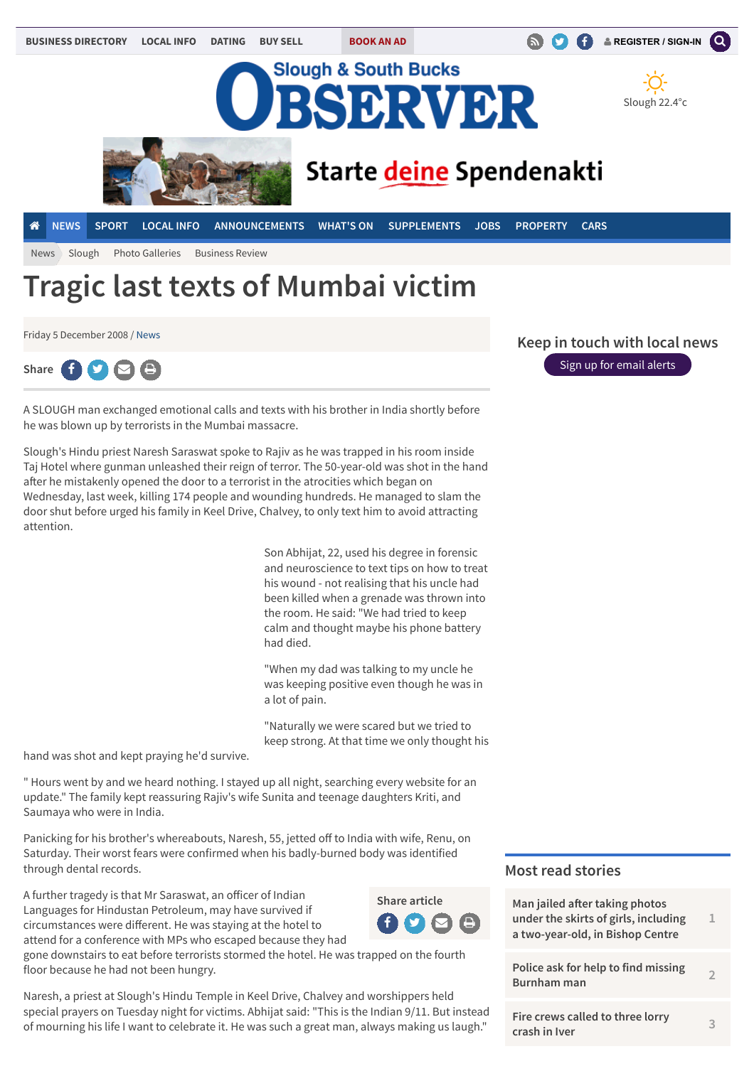

Friday 5 December 2008 / [News](http://www.sloughobserver.co.uk/news/)



A SLOUGH man exchanged emotional calls and texts with his brother in India shortly before he was blown up by terrorists in the Mumbai massacre.

Slough's Hindu priest Naresh Saraswat spoke to Rajiv as he was trapped in his room inside Taj Hotel where gunman unleashed their reign of terror. The 50-year-old was shot in the hand afer he mistakenly opened the door to a terrorist in the atrocities which began on Wednesday, last week, killing 174 people and wounding hundreds. He managed to slam the door shut before urged his family in Keel Drive, Chalvey, to only text him to avoid attracting attention.

> Son Abhijat, 22, used his degree in forensic and neuroscience to text tips on how to treat his wound - not realising that his uncle had been killed when a grenade was thrown into the room. He said: "We had tried to keep calm and thought maybe his phone battery had died.

"When my dad was talking to my uncle he was keeping positive even though he was in a lot of pain.

"Naturally we were scared but we tried to keep strong. At that time we only thought his

hand was shot and kept praying he'd survive.

" Hours went by and we heard nothing. I stayed up all night, searching every website for an update." The family kept reassuring Rajiv's wife Sunita and teenage daughters Kriti, and Saumaya who were in India.

Panicking for his brother's whereabouts, Naresh, 55, jetted off to India with wife, Renu, on Saturday. Their worst fears were confirmed when his badly-burned body was identified through dental records.

A further tragedy is that Mr Saraswat, an oficer of Indian Languages for Hindustan Petroleum, may have survived if circumstances were diferent. He was staying at the hotel to attend for a conference with MPs who escaped because they had



gone downstairs to eat before terrorists stormed the hotel. He was trapped on the fourth floor because he had not been hungry.

Naresh, a priest at Slough's Hindu Temple in Keel Drive, Chalvey and worshippers held special prayers on Tuesday night for victims. Abhijat said: "This is the Indian 9/11. But instead of mourning his life I want to celebrate it. He was such a great man, always making us laugh."

**Keep in touch with local news**

[Sign up for email alerts](http://www.sloughobserver.co.uk/emailbulletins/)

### **Most read stories**

| Man jailed after taking photos<br>under the skirts of girls, including<br>a two-year-old, in Bishop Centre | 1              |
|------------------------------------------------------------------------------------------------------------|----------------|
| Police ask for help to find missing<br>Burnham man                                                         | $\mathfrak{D}$ |
| Fire crews called to three lorry<br>crash in Iver                                                          | R              |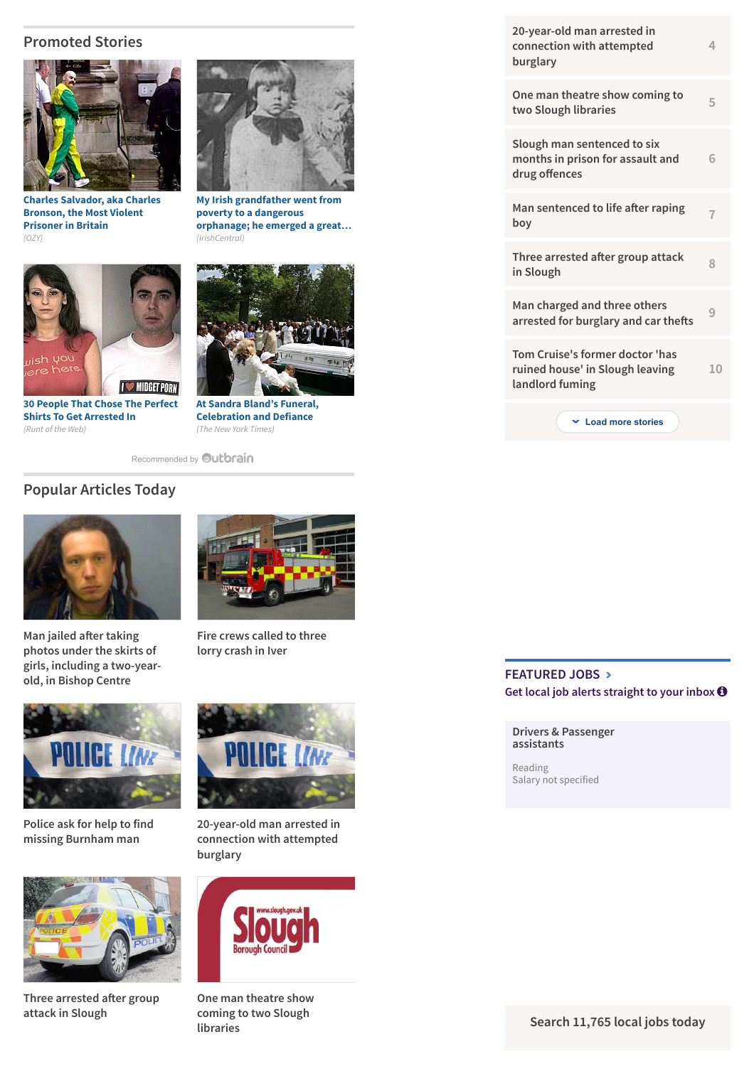## **Promoted Stories**



**[Charles Salvador, aka Charles](http://www.ozy.com/rising-stars-and-provocateurs/the-most-violent-prisoner-in-britain/39950?utm_source=Outbrain&utm_medium=CPC&utm_campaign=INTL%20-%20All%20Clicks%20ALL%20Devices) Bronson, the Most Violent Prisoner in Britain** *(OZY)*



**[30 People That Chose The Perfect](http://runt-of-the-web.com/ironic-mugshots?utm_source=outbrain&utm_medium=referral&utm_campaign=outbrainglobal) Shirts To Get Arrested In** *(Runt of the Web)*



**[My Irish grandfather went from](http://www.irishcentral.com/roots/ancestry/My-Irish-grandfather-went-from-poverty-to-a-dangerous-orphanage-he-emerged-a-great-man.html) poverty to a dangerous orphanage; he emerged a great…** *(IrishCentral)*



**[At Sandra Bland's Funeral,](http://www.nytimes.com/2015/07/27/opinion/charles-blow-at-sandra-blands-funeral-celebration-and-defiance.html?WT.mc_id=2015-AUGUST-OTB-INTL_AUD_DEV-0801-0831&WT.mc_ev=click&ad-keywords=IntlAudDev) Celebration and Defiance** *(The New York Times)*

[Recommended by](http://www.sloughobserver.co.uk/news/13430141.Tragic_last_texts_of_Mumbai_victim/#) **Qutbrain** 

# **Popular Articles Today**



**Man jailed afer taking photos under the skirts of [girls, including a two-year](http://uatu.newsquestdigital.co.uk/click2.php?f=13430141&t=13581305&r=0&s=1051&p=1&v=pop&n=6)old, in Bishop Centre**



**[Fire crews called to three](http://uatu.newsquestdigital.co.uk/click2.php?f=13430141&t=13580064&r=0&s=1051&p=2&v=pop&n=6) lorry crash in Iver**



**[Police ask for help to find](http://uatu.newsquestdigital.co.uk/click2.php?f=13430141&t=13581252&r=0&s=1051&p=3&v=pop&n=6) missing Burnham man**



**[Three arrested a](http://uatu.newsquestdigital.co.uk/click2.php?f=13430141&t=13520753&r=0&s=1051&p=5&v=pop&n=6)fer group attack in Slough**



**[20-year-old man arrested in](http://uatu.newsquestdigital.co.uk/click2.php?f=13430141&t=13576384&r=0&s=1051&p=4&v=pop&n=6) connection with attempted burglary**



**[One man theatre show](http://uatu.newsquestdigital.co.uk/click2.php?f=13430141&t=13578402&r=0&s=1051&p=6&v=pop&n=6) coming to two Slough libraries**

| 20-year-old man arrested in<br>connection with attempted<br>burglary                  | 4  |
|---------------------------------------------------------------------------------------|----|
| One man theatre show coming to<br>two Slough libraries                                | 5  |
| Slough man sentenced to six<br>months in prison for assault and<br>drug offences      | 6  |
| Man sentenced to life after raping<br>boy                                             | 7  |
| Three arrested after group attack<br>in Slough                                        | 8  |
| Man charged and three others<br>arrested for burglary and car thefts                  | 9  |
| Tom Cruise's former doctor 'has<br>ruined house' in Slough leaving<br>landlord fuming | 10 |
| Load more stories                                                                     |    |

## **[FEATURED JOBS](http://www.sloughobserver.co.uk/jobs/)** ∠∠ [Get local job alerts straight to your inbox](http://www.sloughobserver.co.uk/jobs/)  $\bullet$

### **[Drivers & Passenger](http://www.sloughobserver.co.uk/jobs/advert/J8G2QB685Q2Y5WXN1QL/Drivers___Passenger_assistants-Reading/?ref=fj) assistants**

Reading Salary not specified